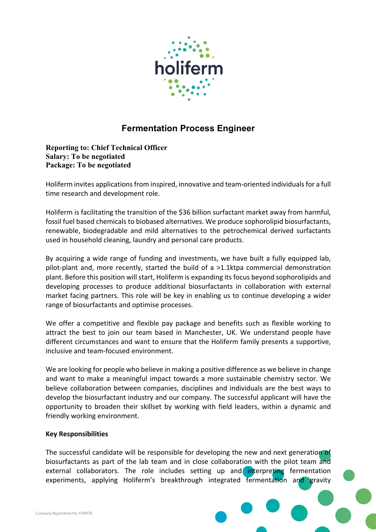

# **Fermentation Process Engineer**

## **Reporting to: Chief Technical Officer Salary: To be negotiated Package: To be negotiated**

Holiferm invites applications from inspired, innovative and team-oriented individuals for a full time research and development role.

Holiferm is facilitating the transition of the \$36 billion surfactant market away from harmful, fossil fuel based chemicals to biobased alternatives. We produce sophorolipid biosurfactants, renewable, biodegradable and mild alternatives to the petrochemical derived surfactants used in household cleaning, laundry and personal care products.

By acquiring a wide range of funding and investments, we have built a fully equipped lab, pilot-plant and, more recently, started the build of a >1.1ktpa commercial demonstration plant. Before this position will start, Holiferm is expanding its focus beyond sophorolipids and developing processes to produce additional biosurfactants in collaboration with external market facing partners. This role will be key in enabling us to continue developing a wider range of biosurfactants and optimise processes.

We offer a competitive and flexible pay package and benefits such as flexible working to attract the best to join our team based in Manchester, UK. We understand people have different circumstances and want to ensure that the Holiferm family presents a supportive, inclusive and team-focused environment.

We are looking for people who believe in making a positive difference as we believe in change and want to make a meaningful impact towards a more sustainable chemistry sector. We believe collaboration between companies, disciplines and individuals are the best ways to develop the biosurfactant industry and our company. The successful applicant will have the opportunity to broaden their skillset by working with field leaders, within a dynamic and friendly working environment.

#### **Key Responsibilities**

The successful candidate will be responsible for developing the new and next generation of biosurfactants as part of the lab team and in close collaboration with the pilot team and external collaborators. The role includes setting up and interpreting fermentation experiments, applying Holiferm's breakthrough integrated fermentation and gravity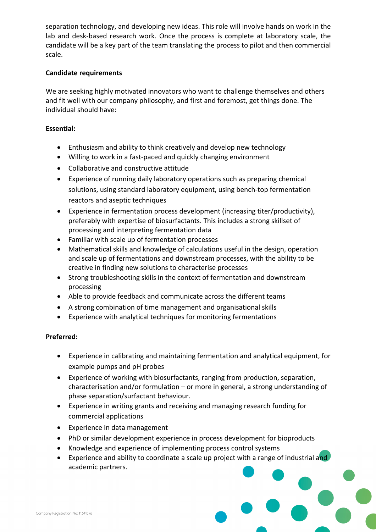separation technology, and developing new ideas. This role will involve hands on work in the lab and desk-based research work. Once the process is complete at laboratory scale, the candidate will be a key part of the team translating the process to pilot and then commercial scale.

## **Candidate requirements**

We are seeking highly motivated innovators who want to challenge themselves and others and fit well with our company philosophy, and first and foremost, get things done. The individual should have:

## **Essential:**

- Enthusiasm and ability to think creatively and develop new technology
- Willing to work in a fast-paced and quickly changing environment
- Collaborative and constructive attitude
- Experience of running daily laboratory operations such as preparing chemical solutions, using standard laboratory equipment, using bench-top fermentation reactors and aseptic techniques
- Experience in fermentation process development (increasing titer/productivity), preferably with expertise of biosurfactants. This includes a strong skillset of processing and interpreting fermentation data
- Familiar with scale up of fermentation processes
- Mathematical skills and knowledge of calculations useful in the design, operation and scale up of fermentations and downstream processes, with the ability to be creative in finding new solutions to characterise processes
- Strong troubleshooting skills in the context of fermentation and downstream processing
- Able to provide feedback and communicate across the different teams
- A strong combination of time management and organisational skills
- Experience with analytical techniques for monitoring fermentations

#### **Preferred:**

- Experience in calibrating and maintaining fermentation and analytical equipment, for example pumps and pH probes
- Experience of working with biosurfactants, ranging from production, separation, characterisation and/or formulation – or more in general, a strong understanding of phase separation/surfactant behaviour.
- Experience in writing grants and receiving and managing research funding for commercial applications
- Experience in data management
- PhD or similar development experience in process development for bioproducts
- Knowledge and experience of implementing process control systems
- Experience and ability to coordinate a scale up project with a range of industrial and academic partners.